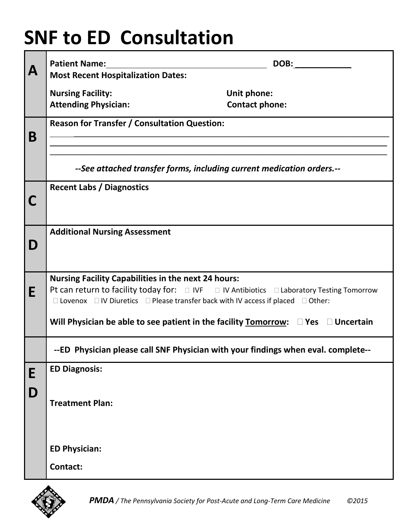## **SNF to ED Consultation**

|             | <b>Patient Name:</b>                                                                                                                                    | DOB:                  |
|-------------|---------------------------------------------------------------------------------------------------------------------------------------------------------|-----------------------|
| $\mathbf A$ | <b>Most Recent Hospitalization Dates:</b>                                                                                                               |                       |
|             | <b>Nursing Facility:</b>                                                                                                                                | Unit phone:           |
|             | <b>Attending Physician:</b>                                                                                                                             | <b>Contact phone:</b> |
|             | <b>Reason for Transfer / Consultation Question:</b>                                                                                                     |                       |
| B           |                                                                                                                                                         |                       |
|             |                                                                                                                                                         |                       |
|             | --See attached transfer forms, including current medication orders.--                                                                                   |                       |
|             | <b>Recent Labs / Diagnostics</b>                                                                                                                        |                       |
| C           |                                                                                                                                                         |                       |
|             |                                                                                                                                                         |                       |
|             | <b>Additional Nursing Assessment</b>                                                                                                                    |                       |
| D           |                                                                                                                                                         |                       |
|             |                                                                                                                                                         |                       |
|             | <b>Nursing Facility Capabilities in the next 24 hours:</b><br>Pt can return to facility today for: □ IVF □ IV Antibiotics □ Laboratory Testing Tomorrow |                       |
| E           | $\Box$ Lovenox $\Box$ IV Diuretics $\Box$ Please transfer back with IV access if placed $\Box$ Other:                                                   |                       |
|             | Will Physician be able to see patient in the facility $Tomorrow: \Box Yes \Box Uncertain$                                                               |                       |
|             | --ED Physician please call SNF Physician with your findings when eval. complete--                                                                       |                       |
| E           | <b>ED Diagnosis:</b>                                                                                                                                    |                       |
| D           |                                                                                                                                                         |                       |
|             | <b>Treatment Plan:</b>                                                                                                                                  |                       |
|             |                                                                                                                                                         |                       |
|             |                                                                                                                                                         |                       |
|             | <b>ED Physician:</b>                                                                                                                                    |                       |
|             | Contact:                                                                                                                                                |                       |
|             |                                                                                                                                                         |                       |